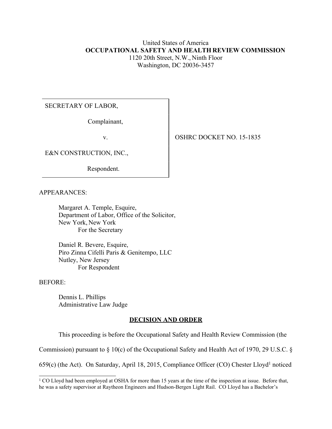# United States of America **OCCUPATIONAL SAFETY AND HEALTH REVIEW COMMISSION** 1120 20th Street, N.W., Ninth Floor

Washington, DC 20036-3457

# SECRETARY OF LABOR,

Complainant,

E&N CONSTRUCTION, INC.,

Respondent.

APPEARANCES:

Margaret A. Temple, Esquire, Department of Labor, Office of the Solicitor, New York, New York For the Secretary

Daniel R. Bevere, Esquire, Piro Zinna Cifelli Paris & Genitempo, LLC Nutley, New Jersey For Respondent

BEFORE:

Dennis L. Phillips Administrative Law Judge

## **DECISION AND ORDER**

This proceeding is before the Occupational Safety and Health Review Commission (the

Commission) pursuant to § 10(c) of the Occupational Safety and Health Act of 1970, 29 U.S.C. §

659(c) (the Act). On Saturday, April 18, 2015, Compliance Officer (CO) Chester Lloyd<sup>1</sup> noticed

v. SHRC DOCKET NO. 15-1835

<sup>&</sup>lt;sup>1</sup> CO Lloyd had been employed at OSHA for more than 15 years at the time of the inspection at issue. Before that, he was a safety supervisor at Raytheon Engineers and Hudson-Bergen Light Rail. CO Lloyd has a Bachelor's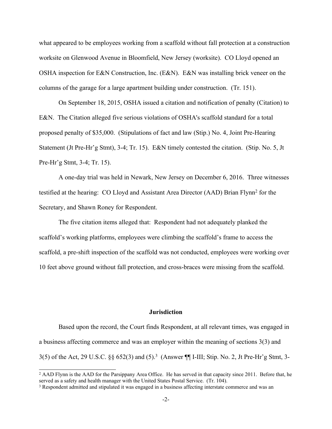what appeared to be employees working from a scaffold without fall protection at a construction worksite on Glenwood Avenue in Bloomfield, New Jersey (worksite). CO Lloyd opened an OSHA inspection for E&N Construction, Inc. (E&N). E&N was installing brick veneer on the columns of the garage for a large apartment building under construction. (Tr. 151).

On September 18, 2015, OSHA issued a citation and notification of penalty (Citation) to E&N. The Citation alleged five serious violations of OSHA's scaffold standard for a total proposed penalty of \$35,000. (Stipulations of fact and law (Stip.) No. 4, Joint Pre-Hearing Statement (Jt Pre-Hr'g Stmt), 3-4; Tr. 15). E&N timely contested the citation. (Stip. No. 5, Jt Pre-Hr'g Stmt, 3-4; Tr. 15).

A one-day trial was held in Newark, New Jersey on December 6, 2016. Three witnesses testified at the hearing: CO Lloyd and Assistant Area Director (AAD) Brian Flynn<sup>2</sup> for the Secretary, and Shawn Roney for Respondent.

The five citation items alleged that: Respondent had not adequately planked the scaffold's working platforms, employees were climbing the scaffold's frame to access the scaffold, a pre-shift inspection of the scaffold was not conducted, employees were working over 10 feet above ground without fall protection, and cross-braces were missing from the scaffold.

#### **Jurisdiction**

Based upon the record, the Court finds Respondent, at all relevant times, was engaged in a business affecting commerce and was an employer within the meaning of sections 3(3) and 3(5) of the Act, 29 U.S.C. §§ 652(3) and (5). 3 (Answer ¶¶ I-III; Stip. No. 2, Jt Pre-Hr'g Stmt, 3-

<sup>&</sup>lt;sup>2</sup> AAD Flynn is the AAD for the Parsippany Area Office. He has served in that capacity since 2011. Before that, he served as a safety and health manager with the United States Postal Service. (Tr. 104).

<sup>3</sup> Respondent admitted and stipulated it was engaged in a business affecting interstate commerce and was an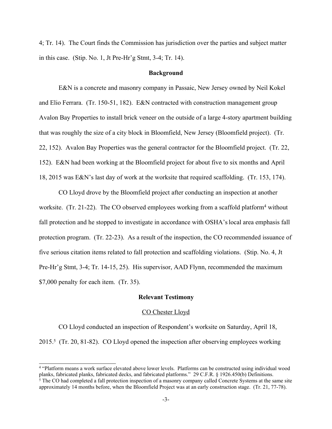4; Tr. 14). The Court finds the Commission has jurisdiction over the parties and subject matter in this case. (Stip. No. 1, Jt Pre-Hr'g Stmt, 3-4; Tr. 14).

#### **Background**

E&N is a concrete and masonry company in Passaic, New Jersey owned by Neil Kokel and Elio Ferrara. (Tr. 150-51, 182). E&N contracted with construction management group Avalon Bay Properties to install brick veneer on the outside of a large 4-story apartment building that was roughly the size of a city block in Bloomfield, New Jersey (Bloomfield project). (Tr. 22, 152). Avalon Bay Properties was the general contractor for the Bloomfield project. (Tr. 22, 152). E&N had been working at the Bloomfield project for about five to six months and April 18, 2015 was E&N's last day of work at the worksite that required scaffolding. (Tr. 153, 174).

CO Lloyd drove by the Bloomfield project after conducting an inspection at another worksite. (Tr. 21-22). The CO observed employees working from a scaffold platform<sup>4</sup> without fall protection and he stopped to investigate in accordance with OSHA's local area emphasis fall protection program. (Tr. 22-23). As a result of the inspection, the CO recommended issuance of five serious citation items related to fall protection and scaffolding violations. (Stip. No. 4, Jt Pre-Hr'g Stmt, 3-4; Tr. 14-15, 25). His supervisor, AAD Flynn, recommended the maximum \$7,000 penalty for each item. (Tr. 35).

#### **Relevant Testimony**

#### CO Chester Lloyd

CO Lloyd conducted an inspection of Respondent's worksite on Saturday, April 18, 2015.<sup>5</sup> (Tr. 20, 81-82). CO Lloyd opened the inspection after observing employees working

<sup>4</sup> "Platform means a work surface elevated above lower levels. Platforms can be constructed using individual wood planks, fabricated planks, fabricated decks, and fabricated platforms." 29 C.F.R. § 1926.450(b) Definitions. <sup>5</sup> The CO had completed a fall protection inspection of a masonry company called Concrete Systems at the same site approximately 14 months before, when the Bloomfield Project was at an early construction stage. (Tr. 21, 77-78).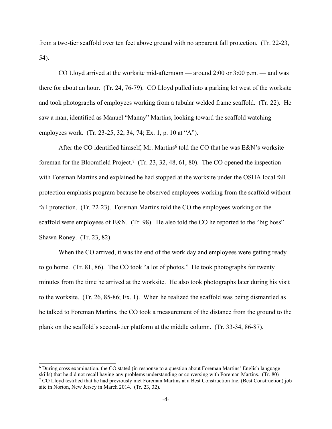from a two-tier scaffold over ten feet above ground with no apparent fall protection. (Tr. 22-23, 54).

CO Lloyd arrived at the worksite mid-afternoon — around 2:00 or 3:00 p.m. — and was there for about an hour. (Tr. 24, 76-79). CO Lloyd pulled into a parking lot west of the worksite and took photographs of employees working from a tubular welded frame scaffold. (Tr. 22). He saw a man, identified as Manuel "Manny" Martins, looking toward the scaffold watching employees work. (Tr. 23-25, 32, 34, 74; Ex. 1, p. 10 at "A").

After the CO identified himself, Mr. Martins<sup>6</sup> told the CO that he was E&N's worksite foreman for the Bloomfield Project.<sup>7</sup> (Tr. 23, 32, 48, 61, 80). The CO opened the inspection with Foreman Martins and explained he had stopped at the worksite under the OSHA local fall protection emphasis program because he observed employees working from the scaffold without fall protection. (Tr. 22-23). Foreman Martins told the CO the employees working on the scaffold were employees of E&N. (Tr. 98). He also told the CO he reported to the "big boss" Shawn Roney. (Tr. 23, 82).

When the CO arrived, it was the end of the work day and employees were getting ready to go home. (Tr. 81, 86). The CO took "a lot of photos." He took photographs for twenty minutes from the time he arrived at the worksite. He also took photographs later during his visit to the worksite. (Tr. 26, 85-86; Ex. 1). When he realized the scaffold was being dismantled as he talked to Foreman Martins, the CO took a measurement of the distance from the ground to the plank on the scaffold's second-tier platform at the middle column. (Tr. 33-34, 86-87).

<sup>6</sup> During cross examination, the CO stated (in response to a question about Foreman Martins' English language skills) that he did not recall having any problems understanding or conversing with Foreman Martins. (Tr. 80) <sup>7</sup> CO Lloyd testified that he had previously met Foreman Martins at a Best Construction Inc. (Best Construction) job site in Norton, New Jersey in March 2014. (Tr. 23, 32).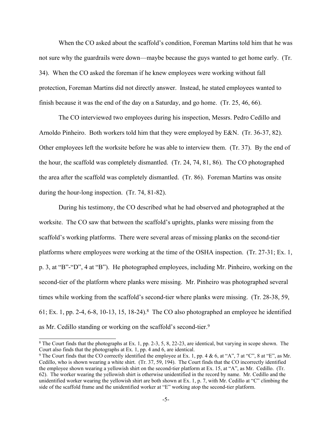When the CO asked about the scaffold's condition, Foreman Martins told him that he was not sure why the guardrails were down—maybe because the guys wanted to get home early. (Tr. 34). When the CO asked the foreman if he knew employees were working without fall protection, Foreman Martins did not directly answer. Instead, he stated employees wanted to finish because it was the end of the day on a Saturday, and go home. (Tr. 25, 46, 66).

The CO interviewed two employees during his inspection, Messrs. Pedro Cedillo and Arnoldo Pinheiro. Both workers told him that they were employed by E&N. (Tr. 36-37, 82). Other employees left the worksite before he was able to interview them. (Tr. 37). By the end of the hour, the scaffold was completely dismantled. (Tr. 24, 74, 81, 86). The CO photographed the area after the scaffold was completely dismantled. (Tr. 86). Foreman Martins was onsite during the hour-long inspection. (Tr. 74, 81-82).

During his testimony, the CO described what he had observed and photographed at the worksite. The CO saw that between the scaffold's uprights, planks were missing from the scaffold's working platforms. There were several areas of missing planks on the second-tier platforms where employees were working at the time of the OSHA inspection. (Tr. 27-31; Ex. 1, p. 3, at "B"-"D", 4 at "B"). He photographed employees, including Mr. Pinheiro, working on the second-tier of the platform where planks were missing. Mr. Pinheiro was photographed several times while working from the scaffold's second-tier where planks were missing. (Tr. 28-38, 59, 61; Ex. 1, pp. 2-4, 6-8, 10-13, 15, 18-24).<sup>8</sup> The CO also photographed an employee he identified as Mr. Cedillo standing or working on the scaffold's second-tier.<sup>9</sup>

 $8$  The Court finds that the photographs at Ex. 1, pp. 2-3, 5, 8, 22-23, are identical, but varying in scope shown. The Court also finds that the photographs at Ex. 1, pp. 4 and 6, are identical.

<sup>&</sup>lt;sup>9</sup> The Court finds that the CO correctly identified the employee at Ex. 1, pp. 4 & 6, at "A", 7 at "C", 8 at "E", as Mr. Cedillo, who is shown wearing a white shirt. (Tr. 37, 59, 194). The Court finds that the CO incorrectly identified the employee shown wearing a yellowish shirt on the second-tier platform at Ex. 15, at "A", as Mr. Cedillo. (Tr. 62). The worker wearing the yellowish shirt is otherwise unidentified in the record by name. Mr. Cedillo and the unidentified worker wearing the yellowish shirt are both shown at Ex. 1, p. 7, with Mr. Cedillo at "C" climbing the side of the scaffold frame and the unidentified worker at "E" working atop the second-tier platform.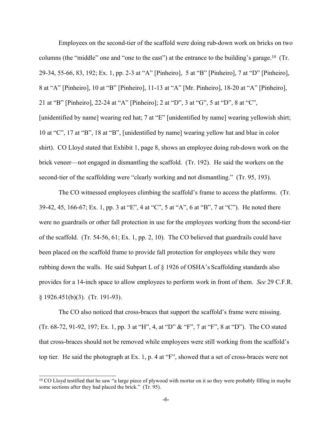Employees on the second-tier of the scaffold were doing rub-down work on bricks on two columns (the "middle" one and "one to the east") at the entrance to the building's garage. <sup>10</sup> (Tr. 29-34, 55-66, 83, 192; Ex. 1, pp. 2-3 at "A" [Pinheiro], 5 at "B" [Pinheiro], 7 at "D" [Pinheiro], 8 at "A" [Pinheiro], 10 at "B" [Pinheiro], 11-13 at "A" [Mr. Pinheiro], 18-20 at "A" [Pinheiro], 21 at "B" [Pinheiro], 22-24 at "A" [Pinheiro]; 2 at "D", 3 at "G", 5 at "D", 8 at "C", [unidentified by name] wearing red hat; 7 at "E" [unidentified by name] wearing yellowish shirt; 10 at "C", 17 at "B", 18 at "B", [unidentified by name] wearing yellow hat and blue in color shirt). CO Lloyd stated that Exhibit 1, page 8, shows an employee doing rub-down work on the brick veneer—not engaged in dismantling the scaffold. (Tr. 192). He said the workers on the second-tier of the scaffolding were "clearly working and not dismantling." (Tr. 95, 193).

The CO witnessed employees climbing the scaffold's frame to access the platforms. (Tr. 39-42, 45, 166-67; Ex. 1, pp. 3 at "E", 4 at "C", 5 at "A", 6 at "B", 7 at "C"). He noted there were no guardrails or other fall protection in use for the employees working from the second-tier of the scaffold. (Tr. 54-56, 61; Ex. 1, pp. 2, 10). The CO believed that guardrails could have been placed on the scaffold frame to provide fall protection for employees while they were rubbing down the walls. He said Subpart L of § 1926 of OSHA's Scaffolding standards also provides for a 14-inch space to allow employees to perform work in front of them. *See* 29 C.F.R. § 1926.451(b)(3). (Tr. 191-93).

The CO also noticed that cross-braces that support the scaffold's frame were missing. (Tr. 68-72, 91-92, 197; Ex. 1, pp. 3 at "H", 4, at "D" & "F", 7 at "F", 8 at "D"). The CO stated that cross-braces should not be removed while employees were still working from the scaffold's top tier. He said the photograph at Ex. 1, p. 4 at "F", showed that a set of cross-braces were not

<sup>&</sup>lt;sup>10</sup> CO Lloyd testified that he saw "a large piece of plywood with mortar on it so they were probably filling in maybe some sections after they had placed the brick." (Tr. 95).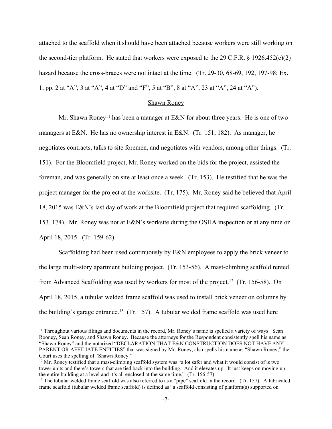attached to the scaffold when it should have been attached because workers were still working on the second-tier platform. He stated that workers were exposed to the 29 C.F.R.  $\S$  1926.452(c)(2) hazard because the cross-braces were not intact at the time. (Tr. 29-30, 68-69, 192, 197-98; Ex. 1, pp. 2 at "A", 3 at "A", 4 at "D" and "F", 5 at "B", 8 at "A", 23 at "A", 24 at "A").

#### Shawn Roney

Mr. Shawn Roney<sup>11</sup> has been a manager at  $E&N$  for about three years. He is one of two managers at E&N. He has no ownership interest in E&N. (Tr. 151, 182). As manager, he negotiates contracts, talks to site foremen, and negotiates with vendors, among other things. (Tr. 151). For the Bloomfield project, Mr. Roney worked on the bids for the project, assisted the foreman, and was generally on site at least once a week. (Tr. 153). He testified that he was the project manager for the project at the worksite. (Tr. 175). Mr. Roney said he believed that April 18, 2015 was E&N's last day of work at the Bloomfield project that required scaffolding. (Tr. 153. 174). Mr. Roney was not at E&N's worksite during the OSHA inspection or at any time on April 18, 2015. (Tr. 159-62).

Scaffolding had been used continuously by E&N employees to apply the brick veneer to the large multi-story apartment building project. (Tr. 153-56). A mast-climbing scaffold rented from Advanced Scaffolding was used by workers for most of the project.<sup>12</sup> (Tr. 156-58). On April 18, 2015, a tubular welded frame scaffold was used to install brick veneer on columns by the building's garage entrance.<sup>13</sup> (Tr. 157). A tubular welded frame scaffold was used here

<sup>&</sup>lt;sup>11</sup> Throughout various filings and documents in the record, Mr. Roney's name is spelled a variety of ways: Sean Rooney, Sean Roney, and Shawn Roney. Because the attorneys for the Respondent consistently spell his name as "Shawn Roney" and the notarized "DECLARATION THAT E&N CONSTRUCTION DOES NOT HAVE ANY PARENT OR AFFILIATE ENTITIES" that was signed by Mr. Roney, also spells his name as "Shawn Roney," the Court uses the spelling of "Shawn Roney."

<sup>&</sup>lt;sup>12</sup> Mr. Roney testified that a mast-climbing scaffold system was "a lot safer and what it would consist of is two tower units and there's towers that are tied back into the building. And it elevates up. It just keeps on moving up the entire building at a level and it's all enclosed at the same time." (Tr. 156-57).

<sup>13</sup> The tubular welded frame scaffold was also referred to as a "pipe" scaffold in the record. (Tr. 157). A fabricated frame scaffold (tubular welded frame scaffold) is defined as "a scaffold consisting of platform(s) supported on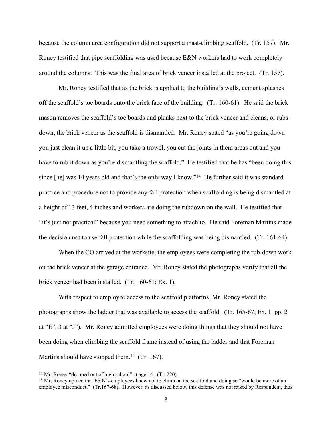because the column area configuration did not support a mast-climbing scaffold. (Tr. 157). Mr. Roney testified that pipe scaffolding was used because E&N workers had to work completely around the columns. This was the final area of brick veneer installed at the project. (Tr. 157).

Mr. Roney testified that as the brick is applied to the building's walls, cement splashes off the scaffold's toe boards onto the brick face of the building. (Tr. 160-61). He said the brick mason removes the scaffold's toe boards and planks next to the brick veneer and cleans, or rubsdown, the brick veneer as the scaffold is dismantled. Mr. Roney stated "as you're going down you just clean it up a little bit, you take a trowel, you cut the joints in them areas out and you have to rub it down as you're dismantling the scaffold." He testified that he has "been doing this since [he] was 14 years old and that's the only way I know."<sup>14</sup> He further said it was standard practice and procedure not to provide any fall protection when scaffolding is being dismantled at a height of 13 feet, 4 inches and workers are doing the rubdown on the wall. He testified that "it's just not practical" because you need something to attach to. He said Foreman Martins made the decision not to use fall protection while the scaffolding was being dismantled. (Tr. 161-64).

When the CO arrived at the worksite, the employees were completing the rub-down work on the brick veneer at the garage entrance. Mr. Roney stated the photographs verify that all the brick veneer had been installed. (Tr. 160-61; Ex. 1).

With respect to employee access to the scaffold platforms, Mr. Roney stated the photographs show the ladder that was available to access the scaffold. (Tr. 165-67; Ex. 1, pp. 2 at "E", 3 at "J"). Mr. Roney admitted employees were doing things that they should not have been doing when climbing the scaffold frame instead of using the ladder and that Foreman Martins should have stopped them.<sup>15</sup> (Tr. 167).

<sup>&</sup>lt;sup>14</sup> Mr. Roney "dropped out of high school" at age 14. (Tr. 220).

<sup>&</sup>lt;sup>15</sup> Mr. Roney opined that E&N's employees knew not to climb on the scaffold and doing so "would be more of an employee misconduct." (Tr.167-68). However, as discussed below, this defense was not raised by Respondent, thus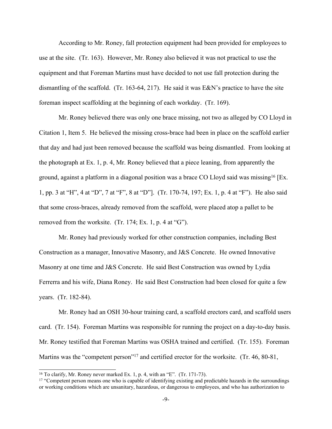According to Mr. Roney, fall protection equipment had been provided for employees to use at the site. (Tr. 163). However, Mr. Roney also believed it was not practical to use the equipment and that Foreman Martins must have decided to not use fall protection during the dismantling of the scaffold. (Tr. 163-64, 217). He said it was E&N's practice to have the site foreman inspect scaffolding at the beginning of each workday. (Tr. 169).

Mr. Roney believed there was only one brace missing, not two as alleged by CO Lloyd in Citation 1, Item 5. He believed the missing cross-brace had been in place on the scaffold earlier that day and had just been removed because the scaffold was being dismantled. From looking at the photograph at Ex. 1, p. 4, Mr. Roney believed that a piece leaning, from apparently the ground, against a platform in a diagonal position was a brace CO Lloyd said was missing<sup>16</sup> [Ex. 1, pp. 3 at "H", 4 at "D", 7 at "F", 8 at "D"]. (Tr. 170-74, 197; Ex. 1, p. 4 at "F"). He also said that some cross-braces, already removed from the scaffold, were placed atop a pallet to be removed from the worksite. (Tr. 174; Ex. 1, p. 4 at "G").

Mr. Roney had previously worked for other construction companies, including Best Construction as a manager, Innovative Masonry, and J&S Concrete. He owned Innovative Masonry at one time and J&S Concrete. He said Best Construction was owned by Lydia Ferrerra and his wife, Diana Roney. He said Best Construction had been closed for quite a few years. (Tr. 182-84).

Mr. Roney had an OSH 30-hour training card, a scaffold erectors card, and scaffold users card. (Tr. 154). Foreman Martins was responsible for running the project on a day-to-day basis. Mr. Roney testified that Foreman Martins was OSHA trained and certified. (Tr. 155). Foreman Martins was the "competent person"<sup>17</sup> and certified erector for the worksite. (Tr. 46, 80-81,

<sup>&</sup>lt;sup>16</sup> To clarify, Mr. Roney never marked Ex. 1, p. 4, with an "E". (Tr. 171-73).

<sup>&</sup>lt;sup>17</sup> "Competent person means one who is capable of identifying existing and predictable hazards in the surroundings or working conditions which are unsanitary, hazardous, or dangerous to employees, and who has authorization to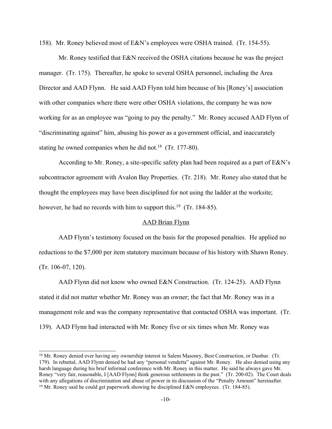158). Mr. Roney believed most of E&N's employees were OSHA trained. (Tr. 154-55).

Mr. Roney testified that E&N received the OSHA citations because he was the project manager. (Tr. 175). Thereafter, he spoke to several OSHA personnel, including the Area Director and AAD Flynn. He said AAD Flynn told him because of his [Roney's] association with other companies where there were other OSHA violations, the company he was now working for as an employee was "going to pay the penalty." Mr. Roney accused AAD Flynn of "discriminating against" him, abusing his power as a government official, and inaccurately stating he owned companies when he did not.<sup>18</sup> (Tr. 177-80).

According to Mr. Roney, a site-specific safety plan had been required as a part of E&N's subcontractor agreement with Avalon Bay Properties. (Tr. 218). Mr. Roney also stated that he thought the employees may have been disciplined for not using the ladder at the worksite; however, he had no records with him to support this.<sup>19</sup> (Tr. 184-85).

### AAD Brian Flynn

AAD Flynn's testimony focused on the basis for the proposed penalties. He applied no reductions to the \$7,000 per item statutory maximum because of his history with Shawn Roney. (Tr. 106-07, 120).

AAD Flynn did not know who owned E&N Construction. (Tr. 124-25). AAD Flynn stated it did not matter whether Mr. Roney was an owner; the fact that Mr. Roney was in a management role and was the company representative that contacted OSHA was important. (Tr. 139). AAD Flynn had interacted with Mr. Roney five or six times when Mr. Roney was

<sup>&</sup>lt;sup>18</sup> Mr. Roney denied ever having any ownership interest in Salem Masonry, Best Construction, or Dunbar. (Tr. 179). In rebuttal, AAD Flynn denied he had any "personal vendetta" against Mr. Roney. He also denied using any harsh language during his brief informal conference with Mr. Roney in this matter. He said he always gave Mr. Roney "very fair, reasonable, I [AAD Flynn] think generous settlements in the past." (Tr. 200-02). The Court deals with any allegations of discrimination and abuse of power in its discussion of the "Penalty Amount" hereinafter. <sup>19</sup> Mr. Roney said he could get paperwork showing he disciplined E&N employees. (Tr. 184-85).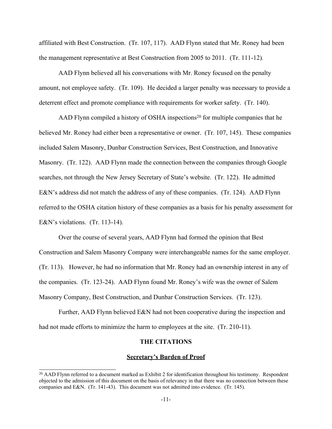affiliated with Best Construction. (Tr. 107, 117). AAD Flynn stated that Mr. Roney had been the management representative at Best Construction from 2005 to 2011. (Tr. 111-12)*.*

AAD Flynn believed all his conversations with Mr. Roney focused on the penalty amount, not employee safety. (Tr. 109). He decided a larger penalty was necessary to provide a deterrent effect and promote compliance with requirements for worker safety. (Tr. 140).

AAD Flynn compiled a history of OSHA inspections<sup>20</sup> for multiple companies that he believed Mr. Roney had either been a representative or owner. (Tr. 107, 145). These companies included Salem Masonry, Dunbar Construction Services, Best Construction, and Innovative Masonry. (Tr. 122). AAD Flynn made the connection between the companies through Google searches, not through the New Jersey Secretary of State's website. (Tr. 122). He admitted E&N's address did not match the address of any of these companies. (Tr. 124). AAD Flynn referred to the OSHA citation history of these companies as a basis for his penalty assessment for E&N's violations. (Tr. 113-14).

Over the course of several years, AAD Flynn had formed the opinion that Best Construction and Salem Masonry Company were interchangeable names for the same employer. (Tr. 113). However, he had no information that Mr. Roney had an ownership interest in any of the companies. (Tr. 123-24). AAD Flynn found Mr. Roney's wife was the owner of Salem Masonry Company, Best Construction, and Dunbar Construction Services. (Tr. 123).

Further, AAD Flynn believed E&N had not been cooperative during the inspection and had not made efforts to minimize the harm to employees at the site. (Tr. 210-11).

## **THE CITATIONS**

#### **Secretary's Burden of Proof**

<sup>&</sup>lt;sup>20</sup> AAD Flynn referred to a document marked as Exhibit 2 for identification throughout his testimony. Respondent objected to the admission of this document on the basis of relevancy in that there was no connection between these companies and E&N. (Tr. 141-43). This document was not admitted into evidence. (Tr. 145).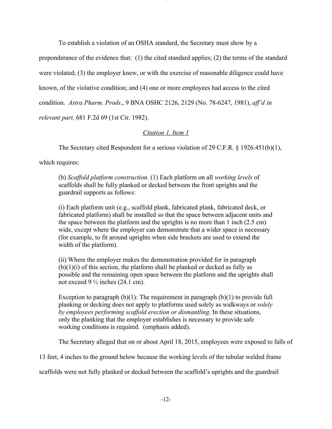To establish a violation of an OSHA standard, the Secretary must show by a

preponderance of the evidence that: (1) the cited standard applies; (2) the terms of the standard were violated; (3) the employer knew, or with the exercise of reasonable diligence could have known, of the violative condition; and (4) one or more employees had access to the cited condition. *Astra Pharm. Prods*., 9 BNA OSHC 2126, 2129 (No. 78-6247, 1981), *aff'd in relevant part,* 681 F.2d 69 (1st Cir. 1982).

*Citation 1, Item 1*

The Secretary cited Respondent for a serious violation of 29 C.F.R. § 1926.451(b)(1),

which requires:

(b) *Scaffold platform construction.* (1) Each platform on all *working levels* of scaffolds shall be fully planked or decked between the front uprights and the guardrail supports as follows:

(i) Each platform unit (e.g., scaffold plank, fabricated plank, fabricated deck, or fabricated platform) shall be installed so that the space between adjacent units and the space between the platform and the uprights is no more than 1 inch (2.5 cm) wide, except where the employer can demonstrate that a wider space is necessary (for example, to fit around uprights when side brackets are used to extend the width of the platform).

(ii) Where the employer makes the demonstration provided for in paragraph  $(b)(1)(i)$  of this section, the platform shall be planked or decked as fully as possible and the remaining open space between the platform and the uprights shall not exceed  $9\frac{1}{2}$  inches (24.1 cm).

Exception to paragraph  $(b)(1)$ : The requirement in paragraph  $(b)(1)$  to provide full planking or decking does not apply to platforms used solely as walkways or *solely by employees performing scaffold erection or dismantling*. In these situations, only the planking that the employer establishes is necessary to provide safe working conditions is required. (emphasis added).

The Secretary alleged that on or about April 18, 2015, employees were exposed to falls of

13 feet, 4 inches to the ground below because the working levels of the tubular welded frame

scaffolds were not fully planked or decked between the scaffold's uprights and the guardrail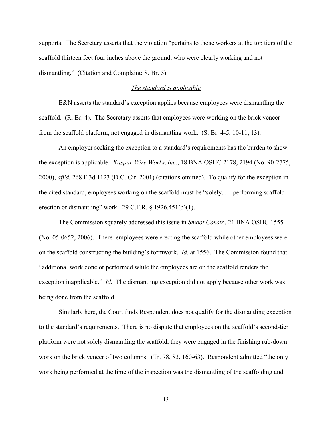supports. The Secretary asserts that the violation "pertains to those workers at the top tiers of the scaffold thirteen feet four inches above the ground, who were clearly working and not dismantling." (Citation and Complaint; S. Br. 5).

## *The standard is applicable*

E&N asserts the standard's exception applies because employees were dismantling the scaffold. (R. Br. 4). The Secretary asserts that employees were working on the brick veneer from the scaffold platform, not engaged in dismantling work. (S. Br. 4-5, 10-11, 13).

An employer seeking the exception to a standard's requirements has the burden to show the exception is applicable. *Kaspar Wire Works, Inc.*, 18 BNA OSHC 2178, 2194 (No. 90-2775, 2000), *aff'd*, 268 F.3d 1123 (D.C. Cir. 2001) (citations omitted). To qualify for the exception in the cited standard, employees working on the scaffold must be "solely. . . performing scaffold erection or dismantling" work. 29 C.F.R.  $\S$  1926.451(b)(1).

The Commission squarely addressed this issue in *Smoot Constr.*, 21 BNA OSHC 1555 (No. 05-0652, 2006). There*,* employees were erecting the scaffold while other employees were on the scaffold constructing the building's formwork. *Id.* at 1556. The Commission found that "additional work done or performed while the employees are on the scaffold renders the exception inapplicable." *Id.* The dismantling exception did not apply because other work was being done from the scaffold.

Similarly here, the Court finds Respondent does not qualify for the dismantling exception to the standard's requirements. There is no dispute that employees on the scaffold's second-tier platform were not solely dismantling the scaffold, they were engaged in the finishing rub-down work on the brick veneer of two columns. (Tr. 78, 83, 160-63). Respondent admitted "the only work being performed at the time of the inspection was the dismantling of the scaffolding and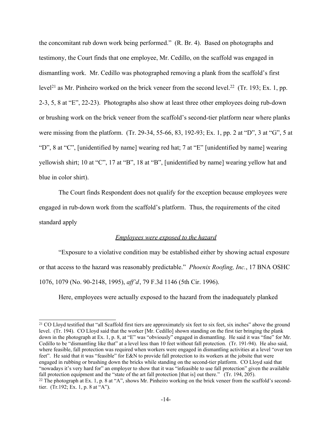the concomitant rub down work being performed." (R. Br. 4). Based on photographs and testimony, the Court finds that one employee, Mr. Cedillo, on the scaffold was engaged in dismantling work. Mr. Cedillo was photographed removing a plank from the scaffold's first level<sup>21</sup> as Mr. Pinheiro worked on the brick veneer from the second level.<sup>22</sup> (Tr. 193; Ex. 1, pp. 2-3, 5, 8 at "E", 22-23). Photographs also show at least three other employees doing rub-down or brushing work on the brick veneer from the scaffold's second-tier platform near where planks were missing from the platform. (Tr. 29-34, 55-66, 83, 192-93; Ex. 1, pp. 2 at "D", 3 at "G", 5 at "D", 8 at "C", [unidentified by name] wearing red hat; 7 at "E" [unidentified by name] wearing yellowish shirt; 10 at "C", 17 at "B", 18 at "B", [unidentified by name] wearing yellow hat and blue in color shirt).

The Court finds Respondent does not qualify for the exception because employees were engaged in rub-down work from the scaffold's platform. Thus, the requirements of the cited standard apply

### *Employees were exposed to the hazard*

"Exposure to a violative condition may be established either by showing actual exposure or that access to the hazard was reasonably predictable." *Phoenix Roofing, Inc.*, 17 BNA OSHC 1076, 1079 (No. 90-2148, 1995), *aff'd*, 79 F.3d 1146 (5th Cir. 1996).

Here, employees were actually exposed to the hazard from the inadequately planked

<sup>&</sup>lt;sup>21</sup> CO Lloyd testified that "all Scaffold first tiers are approximately six feet to six feet, six inches" above the ground level. (Tr. 194). CO Lloyd said that the worker [Mr. Cedillo] shown standing on the first tier bringing the plank down in the photograph at Ex. 1, p. 8, at "E" was "obviously" engaged in dismantling. He said it was "fine" for Mr. Cedillo to be "dismantling like that" at a level less than 10 feet without fall protection. (Tr. 191-94). He also said, where feasible, fall protection was required when workers were engaged in dismantling activities at a level "over ten feet". He said that it was "feasible" for E&N to provide fall protection to its workers at the jobsite that were engaged in rubbing or brushing down the bricks while standing on the second-tier platform. CO Lloyd said that "nowadays it's very hard for" an employer to show that it was "infeasible to use fall protection" given the available fall protection equipment and the "state of the art fall protection [that is] out there." (Tr. 194, 205).  $22$  The photograph at Ex. 1, p. 8 at "A", shows Mr. Pinheiro working on the brick veneer from the scaffold's secondtier. (Tr.192; Ex. 1, p. 8 at "A").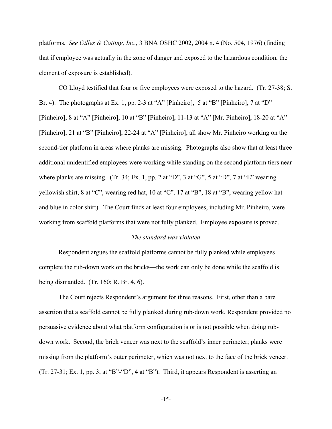platforms. *See Gilles & Cotting, Inc.,* 3 BNA OSHC 2002, 2004 n. 4 (No. 504, 1976) (finding that if employee was actually in the zone of danger and exposed to the hazardous condition, the element of exposure is established).

CO Lloyd testified that four or five employees were exposed to the hazard. (Tr. 27-38; S. Br. 4). The photographs at Ex. 1, pp. 2-3 at "A" [Pinheiro], 5 at "B" [Pinheiro], 7 at "D" [Pinheiro], 8 at "A" [Pinheiro], 10 at "B" [Pinheiro], 11-13 at "A" [Mr. Pinheiro], 18-20 at "A" [Pinheiro], 21 at "B" [Pinheiro], 22-24 at "A" [Pinheiro], all show Mr. Pinheiro working on the second-tier platform in areas where planks are missing. Photographs also show that at least three additional unidentified employees were working while standing on the second platform tiers near where planks are missing. (Tr. 34; Ex. 1, pp. 2 at "D", 3 at "G", 5 at "D", 7 at "E" wearing yellowish shirt, 8 at "C", wearing red hat, 10 at "C", 17 at "B", 18 at "B", wearing yellow hat and blue in color shirt). The Court finds at least four employees, including Mr. Pinheiro, were working from scaffold platforms that were not fully planked. Employee exposure is proved.

#### *The standard was violated*

Respondent argues the scaffold platforms cannot be fully planked while employees complete the rub-down work on the bricks—the work can only be done while the scaffold is being dismantled. (Tr. 160; R. Br. 4, 6).

The Court rejects Respondent's argument for three reasons. First, other than a bare assertion that a scaffold cannot be fully planked during rub-down work, Respondent provided no persuasive evidence about what platform configuration is or is not possible when doing rubdown work. Second, the brick veneer was next to the scaffold's inner perimeter; planks were missing from the platform's outer perimeter, which was not next to the face of the brick veneer. (Tr. 27-31; Ex. 1, pp. 3, at "B"-"D", 4 at "B"). Third, it appears Respondent is asserting an

-15-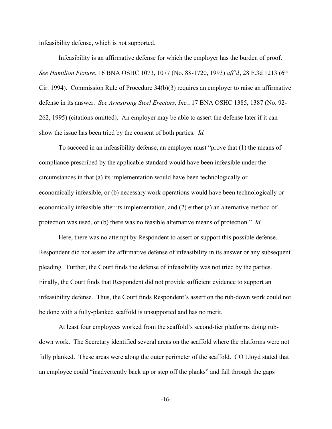infeasibility defense, which is not supported.

Infeasibility is an affirmative defense for which the employer has the burden of proof. *See Hamilton Fixture*, 16 BNA OSHC 1073, 1077 (No. 88-1720, 1993) *aff'd*, 28 F.3d 1213 (6th Cir. 1994). Commission Rule of Procedure 34(b)(3) requires an employer to raise an affirmative defense in its answer. *See Armstrong Steel Erectors, Inc.*, 17 BNA OSHC 1385, 1387 (No. 92- 262, 1995) (citations omitted). An employer may be able to assert the defense later if it can show the issue has been tried by the consent of both parties. *Id.*

To succeed in an infeasibility defense, an employer must "prove that (1) the means of compliance prescribed by the applicable standard would have been infeasible under the circumstances in that (a) its implementation would have been technologically or economically infeasible, or (b) necessary work operations would have been technologically or economically infeasible after its implementation, and (2) either (a) an alternative method of protection was used, or (b) there was no feasible alternative means of protection." *Id.*

Here, there was no attempt by Respondent to assert or support this possible defense. Respondent did not assert the affirmative defense of infeasibility in its answer or any subsequent pleading. Further, the Court finds the defense of infeasibility was not tried by the parties. Finally, the Court finds that Respondent did not provide sufficient evidence to support an infeasibility defense. Thus, the Court finds Respondent's assertion the rub-down work could not be done with a fully-planked scaffold is unsupported and has no merit.

At least four employees worked from the scaffold's second-tier platforms doing rubdown work. The Secretary identified several areas on the scaffold where the platforms were not fully planked. These areas were along the outer perimeter of the scaffold. CO Lloyd stated that an employee could "inadvertently back up or step off the planks" and fall through the gaps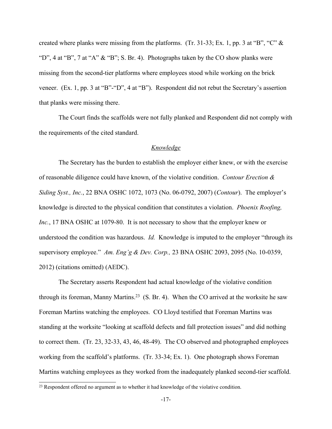created where planks were missing from the platforms. (Tr. 31-33; Ex. 1, pp. 3 at "B", "C" & "D", 4 at "B", 7 at "A" & "B"; S. Br. 4). Photographs taken by the CO show planks were missing from the second-tier platforms where employees stood while working on the brick veneer. (Ex. 1, pp. 3 at "B"-"D", 4 at "B"). Respondent did not rebut the Secretary's assertion that planks were missing there.

The Court finds the scaffolds were not fully planked and Respondent did not comply with the requirements of the cited standard.

## *Knowledge*

The Secretary has the burden to establish the employer either knew, or with the exercise of reasonable diligence could have known, of the violative condition. *Contour Erection & Siding Syst., Inc.*, 22 BNA OSHC 1072, 1073 (No. 06-0792, 2007) (*Contour*). The employer's knowledge is directed to the physical condition that constitutes a violation. *Phoenix Roofing, Inc.*, 17 BNA OSHC at 1079-80. It is not necessary to show that the employer knew or understood the condition was hazardous. *Id.* Knowledge is imputed to the employer "through its supervisory employee." *Am. Eng'g & Dev. Corp.,* 23 BNA OSHC 2093, 2095 (No. 10-0359, 2012) (citations omitted) (AEDC).

The Secretary asserts Respondent had actual knowledge of the violative condition through its foreman, Manny Martins.<sup>23</sup> (S. Br. 4). When the CO arrived at the worksite he saw Foreman Martins watching the employees. CO Lloyd testified that Foreman Martins was standing at the worksite "looking at scaffold defects and fall protection issues" and did nothing to correct them. (Tr. 23, 32-33, 43, 46, 48-49). The CO observed and photographed employees working from the scaffold's platforms. (Tr. 33-34; Ex. 1). One photograph shows Foreman Martins watching employees as they worked from the inadequately planked second-tier scaffold.

<sup>23</sup> Respondent offered no argument as to whether it had knowledge of the violative condition.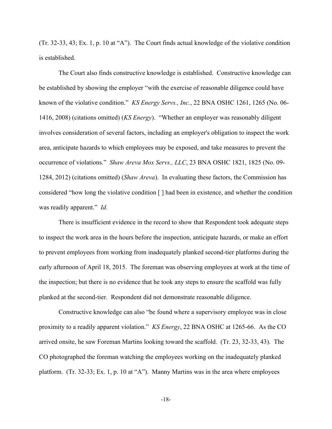(Tr. 32-33, 43; Ex. 1, p. 10 at "A"). The Court finds actual knowledge of the violative condition is established.

The Court also finds constructive knowledge is established. Constructive knowledge can be established by showing the employer "with the exercise of reasonable diligence could have known of the violative condition." *KS Energy Servs., Inc.*, 22 BNA OSHC 1261, 1265 (No. 06- 1416, 2008) (citations omitted) (*KS Energy*). "Whether an employer was reasonably diligent involves consideration of several factors, including an employer's obligation to inspect the work area, anticipate hazards to which employees may be exposed, and take measures to prevent the occurrence of violations." *Shaw Areva Mox Servs., LLC*, 23 BNA OSHC 1821, 1825 (No. 09- 1284, 2012) (citations omitted) (*Shaw Areva*). In evaluating these factors, the Commission has considered "how long the violative condition [ ] had been in existence, and whether the condition was readily apparent." *Id*.

There is insufficient evidence in the record to show that Respondent took adequate steps to inspect the work area in the hours before the inspection, anticipate hazards, or make an effort to prevent employees from working from inadequately planked second-tier platforms during the early afternoon of April 18, 2015. The foreman was observing employees at work at the time of the inspection; but there is no evidence that he took any steps to ensure the scaffold was fully planked at the second-tier. Respondent did not demonstrate reasonable diligence.

Constructive knowledge can also "be found where a supervisory employee was in close proximity to a readily apparent violation." *KS Energy*, 22 BNA OSHC at 1265-66. As the CO arrived onsite, he saw Foreman Martins looking toward the scaffold. (Tr. 23, 32-33, 43). The CO photographed the foreman watching the employees working on the inadequately planked platform. (Tr. 32-33; Ex. 1, p. 10 at "A"). Manny Martins was in the area where employees

-18-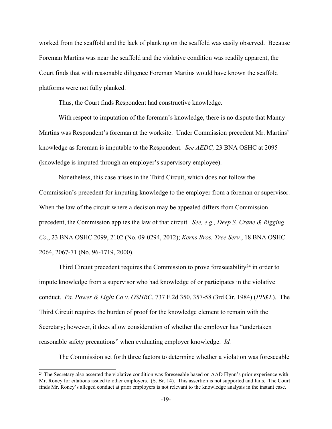worked from the scaffold and the lack of planking on the scaffold was easily observed. Because Foreman Martins was near the scaffold and the violative condition was readily apparent, the Court finds that with reasonable diligence Foreman Martins would have known the scaffold platforms were not fully planked.

Thus, the Court finds Respondent had constructive knowledge.

With respect to imputation of the foreman's knowledge, there is no dispute that Manny Martins was Respondent's foreman at the worksite. Under Commission precedent Mr. Martins' knowledge as foreman is imputable to the Respondent. *See AEDC,* 23 BNA OSHC at 2095 (knowledge is imputed through an employer's supervisory employee).

Nonetheless, this case arises in the Third Circuit, which does not follow the Commission's precedent for imputing knowledge to the employer from a foreman or supervisor. When the law of the circuit where a decision may be appealed differs from Commission precedent, the Commission applies the law of that circuit. *See, e.g., Deep S. Crane & Rigging Co*., 23 BNA OSHC 2099, 2102 (No. 09-0294, 2012); *Kerns Bros. Tree Serv.*, 18 BNA OSHC 2064, 2067-71 (No. 96-1719, 2000).

Third Circuit precedent requires the Commission to prove foreseeability<sup>24</sup> in order to impute knowledge from a supervisor who had knowledge of or participates in the violative conduct. *Pa. Power & Light Co v. OSHRC*, 737 F.2d 350, 357-58 (3rd Cir. 1984) (*PP&L*). The Third Circuit requires the burden of proof for the knowledge element to remain with the Secretary; however, it does allow consideration of whether the employer has "undertaken reasonable safety precautions" when evaluating employer knowledge. *Id.*

The Commission set forth three factors to determine whether a violation was foreseeable

<sup>&</sup>lt;sup>24</sup> The Secretary also asserted the violative condition was foreseeable based on AAD Flynn's prior experience with Mr. Roney for citations issued to other employers. (S. Br. 14). This assertion is not supported and fails. The Court finds Mr. Roney's alleged conduct at prior employers is not relevant to the knowledge analysis in the instant case.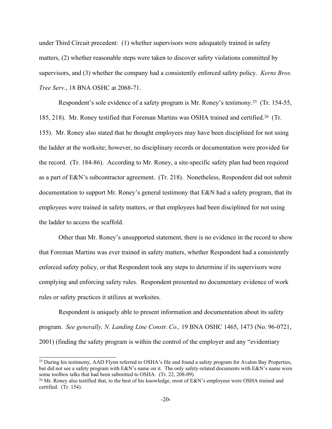under Third Circuit precedent: (1) whether supervisors were adequately trained in safety matters, (2) whether reasonable steps were taken to discover safety violations committed by supervisors, and (3) whether the company had a consistently enforced safety policy. *Kerns Bros. Tree Serv.*, 18 BNA OSHC at 2068-71.

Respondent's sole evidence of a safety program is Mr. Roney's testimony.<sup>25</sup> (Tr. 154-55, 185, 218). Mr. Roney testified that Foreman Martins was OSHA trained and certified.<sup>26</sup> (Tr. 155). Mr. Roney also stated that he thought employees may have been disciplined for not using the ladder at the worksite; however, no disciplinary records or documentation were provided for the record. (Tr. 184-86). According to Mr. Roney, a site-specific safety plan had been required as a part of E&N's subcontractor agreement. (Tr. 218). Nonetheless, Respondent did not submit documentation to support Mr. Roney's general testimony that E&N had a safety program, that its employees were trained in safety matters, or that employees had been disciplined for not using the ladder to access the scaffold.

Other than Mr. Roney's unsupported statement, there is no evidence in the record to show that Foreman Martins was ever trained in safety matters, whether Respondent had a consistently enforced safety policy, or that Respondent took any steps to determine if its supervisors were complying and enforcing safety rules. Respondent presented no documentary evidence of work rules or safety practices it utilizes at worksites.

Respondent is uniquely able to present information and documentation about its safety program. *See generally, N. Landing Line Constr. Co.,* 19 BNA OSHC 1465, 1473 (No. 96-0721, 2001) (finding the safety program is within the control of the employer and any "evidentiary

<sup>&</sup>lt;sup>25</sup> During his testimony, AAD Flynn referred to OSHA's file and found a safety program for Avalon Bay Properties, but did not see a safety program with E&N's name on it. The only safety-related documents with E&N's name were some toolbox talks that had been submitted to OSHA. (Tr. 22, 208-09).

<sup>&</sup>lt;sup>26</sup> Mr. Roney also testified that, to the best of his knowledge, most of E&N's employees were OSHA trained and certified. (Tr. 154).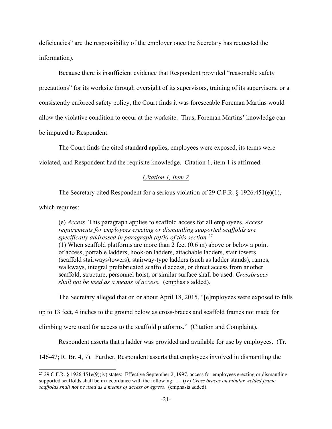deficiencies" are the responsibility of the employer once the Secretary has requested the information).

Because there is insufficient evidence that Respondent provided "reasonable safety precautions" for its worksite through oversight of its supervisors, training of its supervisors, or a consistently enforced safety policy, the Court finds it was foreseeable Foreman Martins would allow the violative condition to occur at the worksite. Thus, Foreman Martins' knowledge can be imputed to Respondent.

The Court finds the cited standard applies, employees were exposed, its terms were

violated, and Respondent had the requisite knowledge. Citation 1, item 1 is affirmed.

## *Citation 1, Item 2*

The Secretary cited Respondent for a serious violation of 29 C.F.R. § 1926.451(e)(1),

which requires:

(e) *Access*. This paragraph applies to scaffold access for all employees. *Access requirements for employees erecting or dismantling supported scaffolds are specifically addressed in paragraph (e)(9) of this section.<sup>27</sup>* (1) When scaffold platforms are more than 2 feet (0.6 m) above or below a point of access, portable ladders, hook-on ladders, attachable ladders, stair towers (scaffold stairways/towers), stairway-type ladders (such as ladder stands), ramps, walkways, integral prefabricated scaffold access, or direct access from another scaffold, structure, personnel hoist, or similar surface shall be used. *Crossbraces*

The Secretary alleged that on or about April 18, 2015, "[e]mployees were exposed to falls

up to 13 feet, 4 inches to the ground below as cross-braces and scaffold frames not made for

climbing were used for access to the scaffold platforms." (Citation and Complaint)*.*

*shall not be used as a means of access.* (emphasis added).

Respondent asserts that a ladder was provided and available for use by employees. (Tr.

146-47; R. Br. 4, 7). Further, Respondent asserts that employees involved in dismantling the

<sup>&</sup>lt;sup>27</sup> 29 C.F.R. § 1926.451e(9)(iv) states: Effective September 2, 1997, access for employees erecting or dismantling supported scaffolds shall be in accordance with the following: … (iv) *Cross braces on tubular welded frame scaffolds shall not be used as a means of access or egress*. (emphasis added).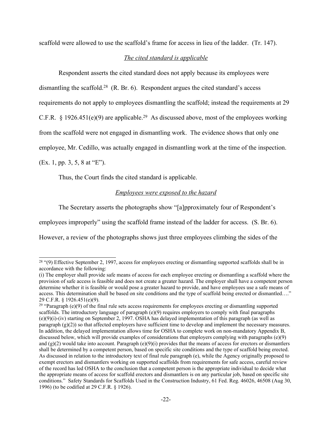scaffold were allowed to use the scaffold's frame for access in lieu of the ladder. (Tr. 147).

# *The cited standard is applicable*

Respondent asserts the cited standard does not apply because its employees were dismantling the scaffold.<sup>28</sup> (R. Br. 6). Respondent argues the cited standard's access

requirements do not apply to employees dismantling the scaffold; instead the requirements at 29

C.F.R. § 1926.451(e)(9) are applicable.<sup>29</sup> As discussed above, most of the employees working

from the scaffold were not engaged in dismantling work. The evidence shows that only one

employee, Mr. Cedillo, was actually engaged in dismantling work at the time of the inspection.

(Ex. 1, pp. 3, 5, 8 at "E").

Thus, the Court finds the cited standard is applicable.

# *Employees were exposed to the hazard*

The Secretary asserts the photographs show "[a]pproximately four of Respondent's

employees improperly" using the scaffold frame instead of the ladder for access. (S. Br. 6).

However, a review of the photographs shows just three employees climbing the sides of the

<sup>&</sup>lt;sup>28</sup> "(9) Effective September 2, 1997, access for employees erecting or dismantling supported scaffolds shall be in accordance with the following:

<sup>(</sup>i) The employer shall provide safe means of access for each employee erecting or dismantling a scaffold where the provision of safe access is feasible and does not create a greater hazard. The employer shall have a competent person determine whether it is feasible or would pose a greater hazard to provide, and have employees use a safe means of access. This determination shall be based on site conditions and the type of scaffold being erected or dismantled…." 29 C.F.R. § 1926.451(e)(9).

<sup>&</sup>lt;sup>29</sup> "Paragraph (e)(9) of the final rule sets access requirements for employees erecting or dismantling supported scaffolds. The introductory language of paragraph  $(e)(9)$  requires employers to comply with final paragraphs (e)(9)(i)-(iv) starting on September 2, 1997. OSHA has delayed implementation of this paragraph (as well as paragraph  $(g)(2)$ ) so that affected employers have sufficient time to develop and implement the necessary measures. In addition, the delayed implementation allows time for OSHA to complete work on non-mandatory Appendix B, discussed below, which will provide examples of considerations that employers complying with paragraphs (e)(9) and  $(g)(2)$  would take into account. Paragraph  $(e)(9)(i)$  provides that the means of access for erectors or dismantlers shall be determined by a competent person, based on specific site conditions and the type of scaffold being erected. As discussed in relation to the introductory text of final rule paragraph (e), while the Agency originally proposed to exempt erectors and dismantlers working on supported scaffolds from requirements for safe access, careful review of the record has led OSHA to the conclusion that a competent person is the appropriate individual to decide what the appropriate means of access for scaffold erectors and dismantlers is on any particular job, based on specific site conditions." Safety Standards for Scaffolds Used in the Construction Industry, 61 Fed. Reg. 46026, 46508 (Aug 30, 1996) (to be codified at 29 C.F.R. § 1926).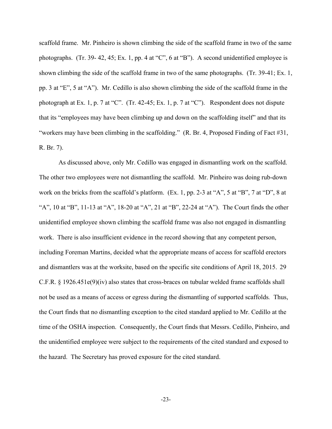scaffold frame. Mr. Pinheiro is shown climbing the side of the scaffold frame in two of the same photographs. (Tr. 39- 42, 45; Ex. 1, pp. 4 at "C", 6 at "B"). A second unidentified employee is shown climbing the side of the scaffold frame in two of the same photographs. (Tr. 39-41; Ex. 1, pp. 3 at "E", 5 at "A"). Mr. Cedillo is also shown climbing the side of the scaffold frame in the photograph at Ex. 1, p. 7 at "C". (Tr. 42-45; Ex. 1, p. 7 at "C"). Respondent does not dispute that its "employees may have been climbing up and down on the scaffolding itself" and that its "workers may have been climbing in the scaffolding." (R. Br. 4, Proposed Finding of Fact #31, R. Br. 7).

As discussed above, only Mr. Cedillo was engaged in dismantling work on the scaffold. The other two employees were not dismantling the scaffold. Mr. Pinheiro was doing rub-down work on the bricks from the scaffold's platform. (Ex. 1, pp. 2-3 at "A", 5 at "B", 7 at "D", 8 at "A", 10 at "B", 11-13 at "A", 18-20 at "A", 21 at "B", 22-24 at "A"). The Court finds the other unidentified employee shown climbing the scaffold frame was also not engaged in dismantling work. There is also insufficient evidence in the record showing that any competent person, including Foreman Martins, decided what the appropriate means of access for scaffold erectors and dismantlers was at the worksite, based on the specific site conditions of April 18, 2015. 29 C.F.R. § 1926.451e(9)(iv) also states that cross-braces on tubular welded frame scaffolds shall not be used as a means of access or egress during the dismantling of supported scaffolds*.* Thus, the Court finds that no dismantling exception to the cited standard applied to Mr. Cedillo at the time of the OSHA inspection. Consequently, the Court finds that Messrs. Cedillo, Pinheiro, and the unidentified employee were subject to the requirements of the cited standard and exposed to the hazard. The Secretary has proved exposure for the cited standard.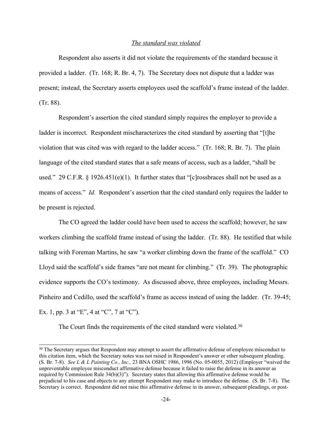## *The standard was violated*

Respondent also asserts it did not violate the requirements of the standard because it provided a ladder. (Tr. 168; R. Br. 4, 7). The Secretary does not dispute that a ladder was present; instead, the Secretary asserts employees used the scaffold's frame instead of the ladder. (Tr. 88).

Respondent's assertion the cited standard simply requires the employer to provide a ladder is incorrect. Respondent mischaracterizes the cited standard by asserting that "[t]he violation that was cited was with regard to the ladder access." (Tr. 168; R. Br. 7). The plain language of the cited standard states that a safe means of access, such as a ladder, "shall be used." 29 C.F.R. § 1926.451(e)(1). It further states that "[c]rossbraces shall not be used as a means of access." *Id.* Respondent's assertion that the cited standard only requires the ladder to be present is rejected.

The CO agreed the ladder could have been used to access the scaffold; however, he saw workers climbing the scaffold frame instead of using the ladder. (Tr. 88). He testified that while talking with Foreman Martins, he saw "a worker climbing down the frame of the scaffold." CO Lloyd said the scaffold's side frames "are not meant for climbing." (Tr. 39). The photographic evidence supports the CO's testimony. As discussed above, three employees, including Messrs. Pinheiro and Cedillo, used the scaffold's frame as access instead of using the ladder. (Tr. 39-45; Ex. 1, pp. 3 at "E", 4 at "C", 7 at "C").

The Court finds the requirements of the cited standard were violated.<sup>30</sup>

<sup>&</sup>lt;sup>30</sup> The Secretary argues that Respondent may attempt to assert the affirmative defense of employee misconduct to this citation item, which the Secretary notes was not raised in Respondent's answer or other subsequent pleading. (S. Br. 7-8). *See L & L Painting Co., Inc.,* 23 BNA OSHC 1986, 1996 (No. 05-0055, 2012) (Employer "waived the unpreventable employee misconduct affirmative defense because it failed to raise the defense in its answer as required by Commission Rule 34(b)(3)"). Secretary states that allowing this affirmative defense would be prejudicial to his case and objects to any attempt Respondent may make to introduce the defense. (S. Br. 7-8). The Secretary is correct. Respondent did not raise this affirmative defense in its answer, subsequent pleadings, or post-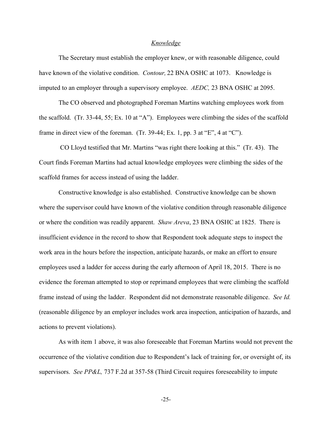#### *Knowledge*

The Secretary must establish the employer knew, or with reasonable diligence, could have known of the violative condition. *Contour,* 22 BNA OSHC at 1073. Knowledge is imputed to an employer through a supervisory employee. *AEDC,* 23 BNA OSHC at 2095.

The CO observed and photographed Foreman Martins watching employees work from the scaffold. (Tr. 33-44, 55; Ex. 10 at "A"). Employees were climbing the sides of the scaffold frame in direct view of the foreman. (Tr. 39-44; Ex. 1, pp. 3 at "E", 4 at "C").

CO Lloyd testified that Mr. Martins "was right there looking at this." (Tr. 43). The Court finds Foreman Martins had actual knowledge employees were climbing the sides of the scaffold frames for access instead of using the ladder.

Constructive knowledge is also established. Constructive knowledge can be shown where the supervisor could have known of the violative condition through reasonable diligence or where the condition was readily apparent. *Shaw Areva*, 23 BNA OSHC at 1825. There is insufficient evidence in the record to show that Respondent took adequate steps to inspect the work area in the hours before the inspection, anticipate hazards, or make an effort to ensure employees used a ladder for access during the early afternoon of April 18, 2015. There is no evidence the foreman attempted to stop or reprimand employees that were climbing the scaffold frame instead of using the ladder. Respondent did not demonstrate reasonable diligence. *See Id.* (reasonable diligence by an employer includes work area inspection, anticipation of hazards, and actions to prevent violations).

As with item 1 above, it was also foreseeable that Foreman Martins would not prevent the occurrence of the violative condition due to Respondent's lack of training for, or oversight of, its supervisors. *See PP&L,* 737 F.2d at 357-58 (Third Circuit requires foreseeability to impute

-25-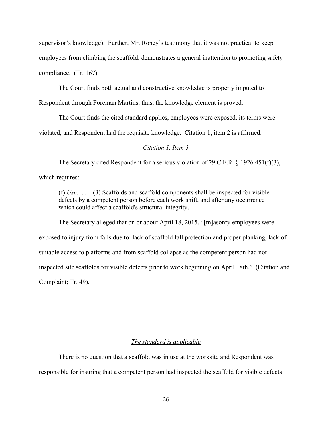supervisor's knowledge). Further, Mr. Roney's testimony that it was not practical to keep employees from climbing the scaffold, demonstrates a general inattention to promoting safety compliance. (Tr. 167).

The Court finds both actual and constructive knowledge is properly imputed to

Respondent through Foreman Martins, thus, the knowledge element is proved.

The Court finds the cited standard applies, employees were exposed, its terms were violated, and Respondent had the requisite knowledge. Citation 1, item 2 is affirmed.

### *Citation 1, Item 3*

The Secretary cited Respondent for a serious violation of 29 C.F.R. § 1926.451(f)(3), which requires:

(f) *Use*. . . . (3) Scaffolds and scaffold components shall be inspected for visible defects by a competent person before each work shift, and after any occurrence which could affect a scaffold's structural integrity.

The Secretary alleged that on or about April 18, 2015, "[m]asonry employees were exposed to injury from falls due to: lack of scaffold fall protection and proper planking, lack of suitable access to platforms and from scaffold collapse as the competent person had not inspected site scaffolds for visible defects prior to work beginning on April 18th." (Citation and Complaint; Tr. 49).

## *The standard is applicable*

There is no question that a scaffold was in use at the worksite and Respondent was responsible for insuring that a competent person had inspected the scaffold for visible defects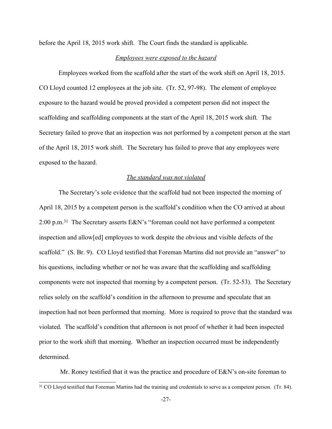before the April 18, 2015 work shift. The Court finds the standard is applicable.

### *Employees were exposed to the hazard*

Employees worked from the scaffold after the start of the work shift on April 18, 2015. CO Lloyd counted 12 employees at the job site. (Tr. 52, 97-98). The element of employee exposure to the hazard would be proved provided a competent person did not inspect the scaffolding and scaffolding components at the start of the April 18, 2015 work shift*.* The Secretary failed to prove that an inspection was not performed by a competent person at the start of the April 18, 2015 work shift. The Secretary has failed to prove that any employees were exposed to the hazard.

#### *The standard was not violated*

The Secretary's sole evidence that the scaffold had not been inspected the morning of April 18, 2015 by a competent person is the scaffold's condition when the CO arrived at about 2:00 p.m.<sup>31</sup> The Secretary asserts E&N's "foreman could not have performed a competent inspection and allow[ed] employees to work despite the obvious and visible defects of the scaffold." (S. Br. 9). CO Lloyd testified that Foreman Martins did not provide an "answer" to his questions, including whether or not he was aware that the scaffolding and scaffolding components were not inspected that morning by a competent person. (Tr. 52-53). The Secretary relies solely on the scaffold's condition in the afternoon to presume and speculate that an inspection had not been performed that morning. More is required to prove that the standard was violated. The scaffold's condition that afternoon is not proof of whether it had been inspected prior to the work shift that morning. Whether an inspection occurred must be independently determined.

Mr. Roney testified that it was the practice and procedure of E&N's on-site foreman to

<sup>&</sup>lt;sup>31</sup> CO Lloyd testified that Foreman Martins had the training and credentials to serve as a competent person. (Tr. 84).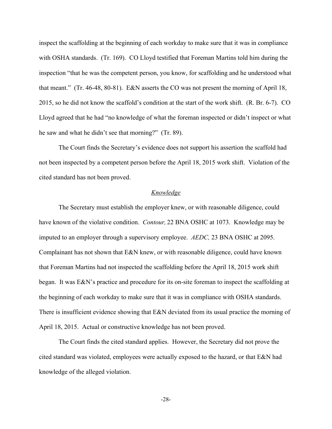inspect the scaffolding at the beginning of each workday to make sure that it was in compliance with OSHA standards. (Tr. 169). CO Lloyd testified that Foreman Martins told him during the inspection "that he was the competent person, you know, for scaffolding and he understood what that meant." (Tr. 46-48, 80-81). E&N asserts the CO was not present the morning of April 18, 2015, so he did not know the scaffold's condition at the start of the work shift. (R. Br. 6-7). CO Lloyd agreed that he had "no knowledge of what the foreman inspected or didn't inspect or what he saw and what he didn't see that morning?" (Tr. 89).

The Court finds the Secretary's evidence does not support his assertion the scaffold had not been inspected by a competent person before the April 18, 2015 work shift. Violation of the cited standard has not been proved.

## *Knowledge*

The Secretary must establish the employer knew, or with reasonable diligence, could have known of the violative condition. *Contour,* 22 BNA OSHC at 1073. Knowledge may be imputed to an employer through a supervisory employee. *AEDC,* 23 BNA OSHC at 2095. Complainant has not shown that E&N knew, or with reasonable diligence, could have known that Foreman Martins had not inspected the scaffolding before the April 18, 2015 work shift began. It was E&N's practice and procedure for its on-site foreman to inspect the scaffolding at the beginning of each workday to make sure that it was in compliance with OSHA standards. There is insufficient evidence showing that E&N deviated from its usual practice the morning of April 18, 2015. Actual or constructive knowledge has not been proved.

The Court finds the cited standard applies. However, the Secretary did not prove the cited standard was violated, employees were actually exposed to the hazard, or that E&N had knowledge of the alleged violation.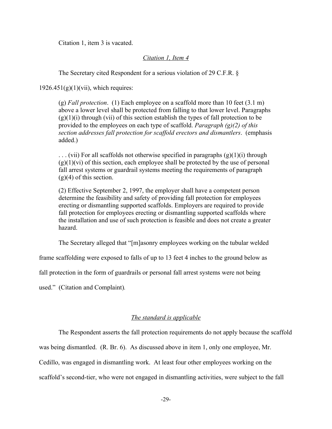Citation 1, item 3 is vacated.

## *Citation 1, Item 4*

The Secretary cited Respondent for a serious violation of 29 C.F.R. §

 $1926.451(g)(1)(vii)$ , which requires:

(g) *Fall protection*. (1) Each employee on a scaffold more than 10 feet (3.1 m) above a lower level shall be protected from falling to that lower level. Paragraphs  $(g)(1)(i)$  through (vii) of this section establish the types of fall protection to be provided to the employees on each type of scaffold. *Paragraph (g)(2) of this section addresses fall protection for scaffold erectors and dismantlers*. (emphasis added.)

 $\ldots$  (vii) For all scaffolds not otherwise specified in paragraphs (g)(1)(i) through  $(g)(1)(vi)$  of this section, each employee shall be protected by the use of personal fall arrest systems or guardrail systems meeting the requirements of paragraph  $(g)(4)$  of this section.

(2) Effective September 2, 1997, the employer shall have a competent person determine the feasibility and safety of providing fall protection for employees erecting or dismantling supported scaffolds. Employers are required to provide fall protection for employees erecting or dismantling supported scaffolds where the installation and use of such protection is feasible and does not create a greater hazard.

The Secretary alleged that "[m]asonry employees working on the tubular welded

frame scaffolding were exposed to falls of up to 13 feet 4 inches to the ground below as

fall protection in the form of guardrails or personal fall arrest systems were not being

used." (Citation and Complaint)*.*

# *The standard is applicable*

The Respondent asserts the fall protection requirements do not apply because the scaffold

was being dismantled. (R. Br. 6). As discussed above in item 1, only one employee, Mr.

Cedillo, was engaged in dismantling work. At least four other employees working on the

scaffold's second-tier, who were not engaged in dismantling activities, were subject to the fall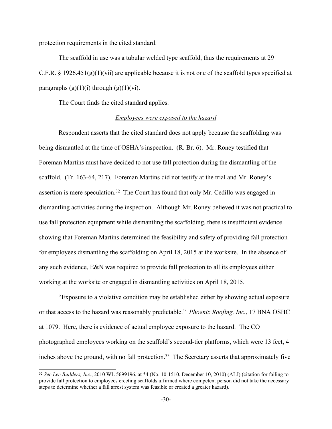protection requirements in the cited standard.

The scaffold in use was a tubular welded type scaffold, thus the requirements at 29 C.F.R. § 1926.451(g)(1)(vii) are applicable because it is not one of the scaffold types specified at paragraphs  $(g)(1)(i)$  through  $(g)(1)(vi)$ .

The Court finds the cited standard applies.

### *Employees were exposed to the hazard*

Respondent asserts that the cited standard does not apply because the scaffolding was being dismantled at the time of OSHA's inspection. (R. Br. 6). Mr. Roney testified that Foreman Martins must have decided to not use fall protection during the dismantling of the scaffold. (Tr. 163-64, 217). Foreman Martins did not testify at the trial and Mr. Roney's assertion is mere speculation.<sup>32</sup> The Court has found that only Mr. Cedillo was engaged in dismantling activities during the inspection. Although Mr. Roney believed it was not practical to use fall protection equipment while dismantling the scaffolding, there is insufficient evidence showing that Foreman Martins determined the feasibility and safety of providing fall protection for employees dismantling the scaffolding on April 18, 2015 at the worksite. In the absence of any such evidence, E&N was required to provide fall protection to all its employees either working at the worksite or engaged in dismantling activities on April 18, 2015.

"Exposure to a violative condition may be established either by showing actual exposure or that access to the hazard was reasonably predictable." *Phoenix Roofing, Inc.*, 17 BNA OSHC at 1079. Here, there is evidence of actual employee exposure to the hazard. The CO photographed employees working on the scaffold's second-tier platforms, which were 13 feet, 4 inches above the ground, with no fall protection.<sup>33</sup> The Secretary asserts that approximately five

<sup>32</sup> *See Lee Builders, Inc.*, 2010 WL 5699196, at \*4 (No. 10-1510, December 10, 2010) (ALJ) (citation for failing to provide fall protection to employees erecting scaffolds affirmed where competent person did not take the necessary steps to determine whether a fall arrest system was feasible or created a greater hazard).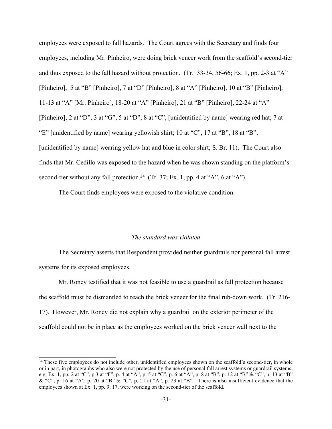employees were exposed to fall hazards. The Court agrees with the Secretary and finds four employees, including Mr. Pinheiro, were doing brick veneer work from the scaffold's second-tier and thus exposed to the fall hazard without protection. (Tr. 33-34, 56-66; Ex. 1, pp. 2-3 at "A" [Pinheiro], 5 at "B" [Pinheiro], 7 at "D" [Pinheiro], 8 at "A" [Pinheiro], 10 at "B" [Pinheiro], 11-13 at "A" [Mr. Pinheiro], 18-20 at "A" [Pinheiro], 21 at "B" [Pinheiro], 22-24 at "A" [Pinheiro]; 2 at "D", 3 at "G", 5 at "D", 8 at "C", [unidentified by name] wearing red hat; 7 at "E" [unidentified by name] wearing yellowish shirt; 10 at "C", 17 at "B", 18 at "B", [unidentified by name] wearing yellow hat and blue in color shirt; S. Br. 11). The Court also finds that Mr. Cedillo was exposed to the hazard when he was shown standing on the platform's second-tier without any fall protection.<sup>34</sup> (Tr. 37; Ex. 1, pp. 4 at "A", 6 at "A").

The Court finds employees were exposed to the violative condition.

#### *The standard was violated*

The Secretary asserts that Respondent provided neither guardrails nor personal fall arrest systems for its exposed employees.

Mr. Roney testified that it was not feasible to use a guardrail as fall protection because the scaffold must be dismantled to reach the brick veneer for the final rub-down work. (Tr. 216- 17). However, Mr. Roney did not explain why a guardrail on the exterior perimeter of the scaffold could not be in place as the employees worked on the brick veneer wall next to the

<sup>&</sup>lt;sup>34</sup> These five employees do not include other, unidentified employees shown on the scaffold's second-tier, in whole or in part, in photographs who also were not protected by the use of personal fall arrest systems or guardrail systems; e.g. Ex. 1, pp. 2 at "C", p.3 at "F", p. 4 at "A", p. 5 at "C", p. 6 at "A", p. 8 at "B", p. 12 at "B" & "C", p. 13 at "B" & "C", p. 16 at "A", p. 20 at "B" & "C", p. 21 at "A", p. 23 at "B". There is also insufficient evidence that the employees shown at Ex. 1, pp. 9, 17, were working on the second-tier of the scaffold.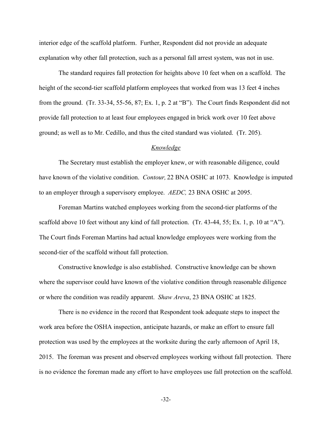interior edge of the scaffold platform. Further, Respondent did not provide an adequate explanation why other fall protection, such as a personal fall arrest system, was not in use.

The standard requires fall protection for heights above 10 feet when on a scaffold. The height of the second-tier scaffold platform employees that worked from was 13 feet 4 inches from the ground. (Tr. 33-34, 55-56, 87; Ex. 1, p. 2 at "B"). The Court finds Respondent did not provide fall protection to at least four employees engaged in brick work over 10 feet above ground; as well as to Mr. Cedillo, and thus the cited standard was violated. (Tr. 205).

## *Knowledge*

The Secretary must establish the employer knew, or with reasonable diligence, could have known of the violative condition. *Contour,* 22 BNA OSHC at 1073. Knowledge is imputed to an employer through a supervisory employee. *AEDC,* 23 BNA OSHC at 2095.

Foreman Martins watched employees working from the second-tier platforms of the scaffold above 10 feet without any kind of fall protection. (Tr. 43-44, 55; Ex. 1, p. 10 at "A"). The Court finds Foreman Martins had actual knowledge employees were working from the second-tier of the scaffold without fall protection.

Constructive knowledge is also established. Constructive knowledge can be shown where the supervisor could have known of the violative condition through reasonable diligence or where the condition was readily apparent. *Shaw Areva*, 23 BNA OSHC at 1825.

There is no evidence in the record that Respondent took adequate steps to inspect the work area before the OSHA inspection, anticipate hazards, or make an effort to ensure fall protection was used by the employees at the worksite during the early afternoon of April 18, 2015. The foreman was present and observed employees working without fall protection. There is no evidence the foreman made any effort to have employees use fall protection on the scaffold.

-32-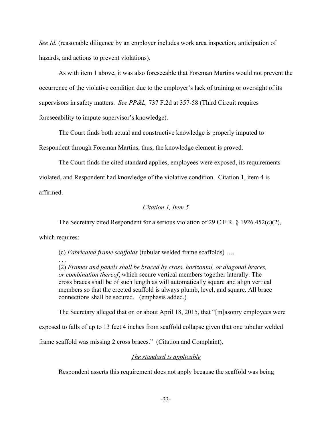*See Id.* (reasonable diligence by an employer includes work area inspection, anticipation of hazards, and actions to prevent violations).

As with item 1 above, it was also foreseeable that Foreman Martins would not prevent the occurrence of the violative condition due to the employer's lack of training or oversight of its supervisors in safety matters. *See PP&L,* 737 F.2d at 357-58 (Third Circuit requires foreseeability to impute supervisor's knowledge).

The Court finds both actual and constructive knowledge is properly imputed to Respondent through Foreman Martins, thus, the knowledge element is proved.

The Court finds the cited standard applies, employees were exposed, its requirements violated, and Respondent had knowledge of the violative condition. Citation 1, item 4 is affirmed.

# *Citation 1, Item 5*

The Secretary cited Respondent for a serious violation of 29 C.F.R. § 1926.452(c)(2), which requires:

(c) *Fabricated frame scaffolds* (tubular welded frame scaffolds) …. . . .

(2) *Frames and panels shall be braced by cross, horizontal, or diagonal braces, or combination thereof*, which secure vertical members together laterally. The cross braces shall be of such length as will automatically square and align vertical members so that the erected scaffold is always plumb, level, and square. All brace connections shall be secured. (emphasis added.)

The Secretary alleged that on or about April 18, 2015, that "[m]asonry employees were

exposed to falls of up to 13 feet 4 inches from scaffold collapse given that one tubular welded

frame scaffold was missing 2 cross braces." (Citation and Complaint).

# *The standard is applicable*

Respondent asserts this requirement does not apply because the scaffold was being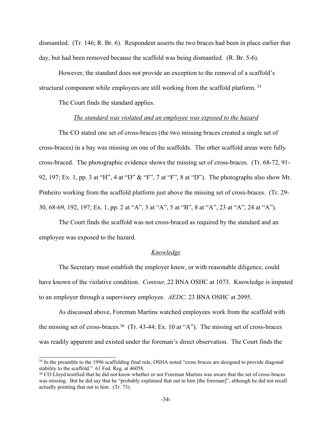dismantled. (Tr. 146; R. Br. 6). Respondent asserts the two braces had been in place earlier that day, but had been removed because the scaffold was being dismantled. (R. Br. 5-6).

However, the standard does not provide an exception to the removal of a scaffold's structural component while employees are still working from the scaffold platform. <sup>35</sup>

The Court finds the standard applies.

#### *The standard was violated and an employee was exposed to the hazard*

The CO stated one set of cross-braces (the two missing braces created a single set of cross-braces) in a bay was missing on one of the scaffolds. The other scaffold areas were fully cross-braced. The photographic evidence shows the missing set of cross-braces. (Tr. 68-72, 91- 92, 197; Ex. 1, pp. 3 at "H", 4 at "D" & "F", 7 at "F", 8 at "D"). The photographs also show Mr. Pinheiro working from the scaffold platform just above the missing set of cross-braces. (Tr. 29- 30, 68-69, 192, 197; Ex. 1, pp. 2 at "A", 3 at "A", 5 at "B", 8 at "A", 23 at "A", 24 at "A").

The Court finds the scaffold was not cross-braced as required by the standard and an employee was exposed to the hazard.

## *Knowledge*

The Secretary must establish the employer knew, or with reasonable diligence, could have known of the violative condition. *Contour,* 22 BNA OSHC at 1073. Knowledge is imputed to an employer through a supervisory employee. *AEDC,* 23 BNA OSHC at 2095.

As discussed above, Foreman Martins watched employees work from the scaffold with the missing set of cross-braces. <sup>36</sup> (Tr. 43-44; Ex. 10 at "A"). The missing set of cross-braces was readily apparent and existed under the foreman's direct observation. The Court finds the

<sup>35</sup> In the preamble to the 1996 scaffolding final rule, OSHA noted "cross braces are designed to provide diagonal stability to the scaffold." 61 Fed. Reg. at 46058.

<sup>&</sup>lt;sup>36</sup> CO Lloyd testified that he did not know whether or not Foreman Martins was aware that the set of cross-braces was missing. But he did say that he "probably explained that out to him [the foreman]", although he did not recall actually pointing that out to him. (Tr. 73).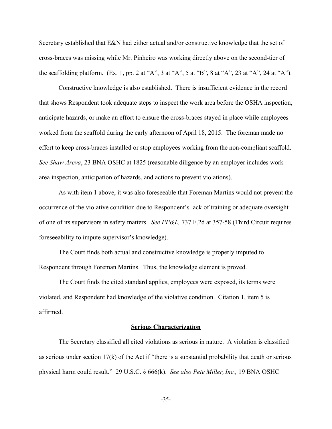Secretary established that E&N had either actual and/or constructive knowledge that the set of cross-braces was missing while Mr. Pinheiro was working directly above on the second-tier of the scaffolding platform. (Ex. 1, pp. 2 at "A", 3 at "A", 5 at "B", 8 at "A", 23 at "A", 24 at "A").

Constructive knowledge is also established. There is insufficient evidence in the record that shows Respondent took adequate steps to inspect the work area before the OSHA inspection, anticipate hazards, or make an effort to ensure the cross-braces stayed in place while employees worked from the scaffold during the early afternoon of April 18, 2015. The foreman made no effort to keep cross-braces installed or stop employees working from the non-compliant scaffold. *See Shaw Areva*, 23 BNA OSHC at 1825 (reasonable diligence by an employer includes work area inspection, anticipation of hazards, and actions to prevent violations).

As with item 1 above, it was also foreseeable that Foreman Martins would not prevent the occurrence of the violative condition due to Respondent's lack of training or adequate oversight of one of its supervisors in safety matters. *See PP&L,* 737 F.2d at 357-58 (Third Circuit requires foreseeability to impute supervisor's knowledge).

The Court finds both actual and constructive knowledge is properly imputed to Respondent through Foreman Martins. Thus, the knowledge element is proved.

The Court finds the cited standard applies, employees were exposed, its terms were violated, and Respondent had knowledge of the violative condition. Citation 1, item 5 is affirmed.

#### **Serious Characterization**

The Secretary classified all cited violations as serious in nature. A violation is classified as serious under section 17(k) of the Act if "there is a substantial probability that death or serious physical harm could result." 29 U.S.C. § 666(k). *See also Pete Miller, Inc.,* 19 BNA OSHC

-35-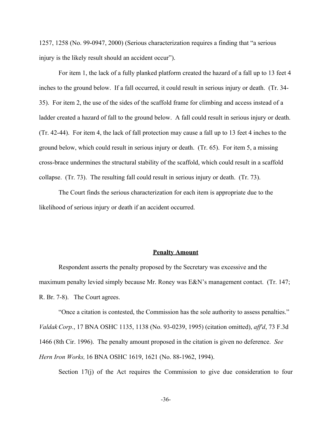1257, 1258 (No. 99-0947, 2000) (Serious characterization requires a finding that "a serious injury is the likely result should an accident occur").

For item 1, the lack of a fully planked platform created the hazard of a fall up to 13 feet 4 inches to the ground below. If a fall occurred, it could result in serious injury or death. (Tr. 34- 35). For item 2, the use of the sides of the scaffold frame for climbing and access instead of a ladder created a hazard of fall to the ground below. A fall could result in serious injury or death. (Tr. 42-44). For item 4, the lack of fall protection may cause a fall up to 13 feet 4 inches to the ground below, which could result in serious injury or death. (Tr. 65). For item 5, a missing cross-brace undermines the structural stability of the scaffold, which could result in a scaffold collapse. (Tr. 73). The resulting fall could result in serious injury or death. (Tr. 73).

The Court finds the serious characterization for each item is appropriate due to the likelihood of serious injury or death if an accident occurred.

#### **Penalty Amount**

Respondent asserts the penalty proposed by the Secretary was excessive and the maximum penalty levied simply because Mr. Roney was E&N's management contact. (Tr. 147; R. Br. 7-8). The Court agrees.

"Once a citation is contested, the Commission has the sole authority to assess penalties." *Valdak Corp.*, 17 BNA OSHC 1135, 1138 (No. 93-0239, 1995) (citation omitted), *aff'd*, 73 F.3d 1466 (8th Cir. 1996). The penalty amount proposed in the citation is given no deference. *See Hern Iron Works,* 16 BNA OSHC 1619, 1621 (No. 88-1962, 1994).

Section 17(j) of the Act requires the Commission to give due consideration to four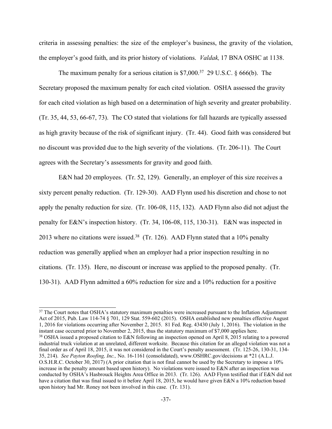criteria in assessing penalties: the size of the employer's business, the gravity of the violation, the employer's good faith, and its prior history of violations. *Valdak,* 17 BNA OSHC at 1138.

The maximum penalty for a serious citation is  $$7,000.<sup>37</sup>$  29 U.S.C. § 666(b). The Secretary proposed the maximum penalty for each cited violation. OSHA assessed the gravity for each cited violation as high based on a determination of high severity and greater probability. (Tr. 35, 44, 53, 66-67, 73). The CO stated that violations for fall hazards are typically assessed as high gravity because of the risk of significant injury. (Tr. 44). Good faith was considered but no discount was provided due to the high severity of the violations. (Tr. 206-11). The Court agrees with the Secretary's assessments for gravity and good faith.

E&N had 20 employees. (Tr. 52, 129). Generally, an employer of this size receives a sixty percent penalty reduction. (Tr. 129-30). AAD Flynn used his discretion and chose to not apply the penalty reduction for size. (Tr. 106-08, 115, 132). AAD Flynn also did not adjust the penalty for E&N's inspection history. (Tr. 34, 106-08, 115, 130-31). E&N was inspected in 2013 where no citations were issued.<sup>38</sup> (Tr. 126). AAD Flynn stated that a 10% penalty reduction was generally applied when an employer had a prior inspection resulting in no citations. (Tr. 135). Here, no discount or increase was applied to the proposed penalty. (Tr. 130-31). AAD Flynn admitted a 60% reduction for size and a 10% reduction for a positive

<sup>&</sup>lt;sup>37</sup> The Court notes that OSHA's statutory maximum penalties were increased pursuant to the Inflation Adjustment Act of 2015, Pub. Law 114-74 § 701, 129 Stat. 559-602 (2015). OSHA established new penalties effective August 1, 2016 for violations occurring after November 2, 2015. 81 Fed. Reg. 43430 (July 1, 2016). The violation in the instant case occurred prior to November 2, 2015, thus the statutory maximum of \$7,000 applies here. <sup>38</sup> OSHA issued a proposed citation to E&N following an inspection opened on April 8, 2015 relating to a powered industrial truck violation at an unrelated, different worksite. Because this citation for an alleged violation was not a final order as of April 18, 2015, it was not considered in the Court's penalty assessment. (Tr. 125-26, 130-31, 134- 35, 214). *See Payton Roofing, Inc.,* No. 16-1161 (consolidated), www.OSHRC.gov/decisions at \*21 (A.L.J. O.S.H.R.C. October 30, 2017) (A prior citation that is not final cannot be used by the Secretary to impose a 10% increase in the penalty amount based upon history). No violations were issued to E&N after an inspection was conducted by OSHA's Hasbrouck Heights Area Office in 2013. (Tr. 126). AAD Flynn testified that if E&N did not have a citation that was final issued to it before April 18, 2015, he would have given E&N a 10% reduction based upon history had Mr. Roney not been involved in this case. (Tr. 131).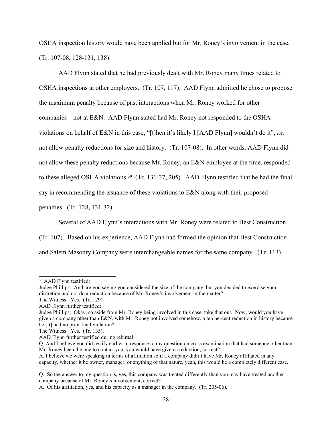OSHA inspection history would have been applied but for Mr. Roney's involvement in the case. (Tr. 107-08, 128-131, 138).

AAD Flynn stated that he had previously dealt with Mr. Roney many times related to OSHA inspections at other employers. (Tr. 107, 117). AAD Flynn admitted he chose to propose the maximum penalty because of past interactions when Mr. Roney worked for other companies—not at E&N. AAD Flynn stated had Mr. Roney not responded to the OSHA violations on behalf of E&N in this case, "[t]hen it's likely I [AAD Flynn] wouldn't do it", *i.e.* not allow penalty reductions for size and history. (Tr. 107-08). In other words, AAD Flynn did not allow these penalty reductions because Mr. Roney, an E&N employee at the time, responded to these alleged OSHA violations.<sup>39</sup> (Tr. 131-37, 205). AAD Flynn testified that he had the final say in recommending the issuance of these violations to E&N along with their proposed penalties. (Tr. 128, 131-32).

Several of AAD Flynn's interactions with Mr. Roney were related to Best Construction.

(Tr. 107). Based on his experience, AAD Flynn had formed the opinion that Best Construction

and Salem Masonry Company were interchangeable names for the same company. (Tr. 113).

<sup>39</sup> AAD Flynn testified:

Judge Phillips: And are you saying you considered the size of the company, but you decided to exercise your discretion and not do a reduction because of Mr. Roney's involvement in the matter?

The Witness: Yes. (Tr. 129).

AAD Flynn further testified:

Judge Phillips: Okay, so aside from Mr. Roney being involved in this case, take that out. Now, would you have given a company other than E&N, with Mr. Roney not involved somehow, a ten percent reduction in history because he [it] had no prior final violation?

The Witness: Yes. (Tr. 135).

AAD Flynn further testified during rebuttal:

Q. And I believe you did testify earlier in response to my question on cross examination that had someone other than Mr. Roney been the one to contact you, you would have given a reduction, correct?

A. I believe we were speaking in terms of affiliation so if a company didn't have Mr. Roney affiliated in any capacity, whether it be owner, manager, or anything of that nature, yeah, this would be a completely different case. …

Q. So the answer to my question is, yes, this company was treated differently than you may have treated another company because of Mr. Roney's involvement, correct?

A. Of his affiliation, yes, and his capacity as a manager in the company. (Tr. 205-06).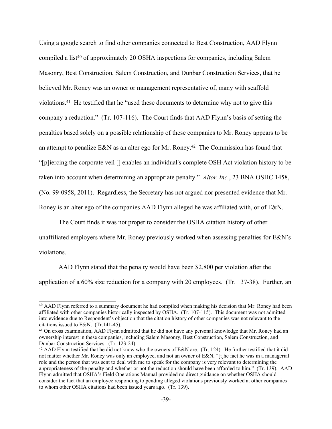Using a google search to find other companies connected to Best Construction, AAD Flynn compiled a list<sup>40</sup> of approximately 20 OSHA inspections for companies, including Salem Masonry, Best Construction, Salem Construction, and Dunbar Construction Services, that he believed Mr. Roney was an owner or management representative of, many with scaffold violations. <sup>41</sup> He testified that he "used these documents to determine why not to give this company a reduction." (Tr. 107-116). The Court finds that AAD Flynn's basis of setting the penalties based solely on a possible relationship of these companies to Mr. Roney appears to be an attempt to penalize E&N as an alter ego for Mr. Roney.<sup>42</sup> The Commission has found that "[p]iercing the corporate veil [] enables an individual's complete OSH Act violation history to be taken into account when determining an appropriate penalty." *Altor, Inc.*, 23 BNA OSHC 1458, (No. 99-0958, 2011). Regardless, the Secretary has not argued nor presented evidence that Mr. Roney is an alter ego of the companies AAD Flynn alleged he was affiliated with, or of E&N.

The Court finds it was not proper to consider the OSHA citation history of other unaffiliated employers where Mr. Roney previously worked when assessing penalties for E&N's violations.

AAD Flynn stated that the penalty would have been \$2,800 per violation after the application of a 60% size reduction for a company with 20 employees. (Tr. 137-38). Further, an

<sup>&</sup>lt;sup>40</sup> AAD Flynn referred to a summary document he had compiled when making his decision that Mr. Roney had been affiliated with other companies historically inspected by OSHA. (Tr. 107-115). This document was not admitted into evidence due to Respondent's objection that the citation history of other companies was not relevant to the citations issued to E&N. (Tr.141-45).

<sup>&</sup>lt;sup>41</sup> On cross examination, AAD Flynn admitted that he did not have any personal knowledge that Mr. Roney had an ownership interest in these companies, including Salem Masonry, Best Construction, Salem Construction, and Dunbar Construction Services. (Tr. 123-24).

<sup>42</sup> AAD Flynn testified that he did not know who the owners of E&N are. (Tr. 124). He further testified that it did not matter whether Mr. Roney was only an employee, and not an owner of E&N, "[t]he fact he was in a managerial role and the person that was sent to deal with me to speak for the company is very relevant to determining the appropriateness of the penalty and whether or not the reduction should have been afforded to him." (Tr. 139). AAD Flynn admitted that OSHA's Field Operations Manual provided no direct guidance on whether OSHA should consider the fact that an employee responding to pending alleged violations previously worked at other companies to whom other OSHA citations had been issued years ago. (Tr. 139).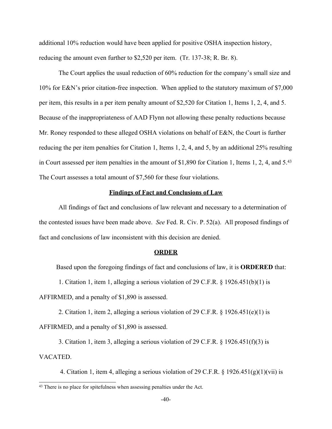additional 10% reduction would have been applied for positive OSHA inspection history, reducing the amount even further to \$2,520 per item. (Tr. 137-38; R. Br. 8).

The Court applies the usual reduction of 60% reduction for the company's small size and 10% for E&N's prior citation-free inspection. When applied to the statutory maximum of \$7,000 per item, this results in a per item penalty amount of \$2,520 for Citation 1, Items 1, 2, 4, and 5. Because of the inappropriateness of AAD Flynn not allowing these penalty reductions because Mr. Roney responded to these alleged OSHA violations on behalf of E&N, the Court is further reducing the per item penalties for Citation 1, Items 1, 2, 4, and 5, by an additional 25% resulting in Court assessed per item penalties in the amount of \$1,890 for Citation 1, Items 1, 2, 4, and 5.<sup>43</sup> The Court assesses a total amount of \$7,560 for these four violations.

# **Findings of Fact and Conclusions of Law**

All findings of fact and conclusions of law relevant and necessary to a determination of the contested issues have been made above. *See* Fed. R. Civ. P. 52(a). All proposed findings of fact and conclusions of law inconsistent with this decision are denied.

#### **ORDER**

Based upon the foregoing findings of fact and conclusions of law, it is **ORDERED** that:

1. Citation 1, item 1, alleging a serious violation of 29 C.F.R. § 1926.451(b)(1) is

AFFIRMED, and a penalty of \$1,890 is assessed.

2. Citation 1, item 2, alleging a serious violation of 29 C.F.R.  $\S$  1926.451(e)(1) is AFFIRMED, and a penalty of \$1,890 is assessed.

3. Citation 1, item 3, alleging a serious violation of 29 C.F.R. § 1926.451(f)(3) is VACATED.

4. Citation 1, item 4, alleging a serious violation of 29 C.F.R.  $\S$  1926.451(g)(1)(vii) is

<sup>&</sup>lt;sup>43</sup> There is no place for spitefulness when assessing penalties under the Act.